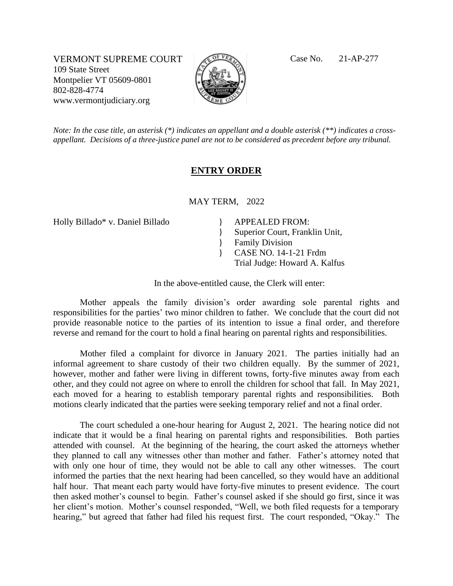VERMONT SUPREME COURT Contract Case No. 21-AP-277 109 State Street Montpelier VT 05609-0801 802-828-4774 www.vermontjudiciary.org



*Note: In the case title, an asterisk (\*) indicates an appellant and a double asterisk (\*\*) indicates a crossappellant. Decisions of a three-justice panel are not to be considered as precedent before any tribunal.*

## **ENTRY ORDER**

MAY TERM, 2022

Holly Billado\* v. Daniel Billado | APPEALED FROM:

} } Superior Court, Franklin Unit, Family Division

- } CASE NO. 14-1-21 Frdm
	- Trial Judge: Howard A. Kalfus

In the above-entitled cause, the Clerk will enter:

Mother appeals the family division's order awarding sole parental rights and responsibilities for the parties' two minor children to father. We conclude that the court did not provide reasonable notice to the parties of its intention to issue a final order, and therefore reverse and remand for the court to hold a final hearing on parental rights and responsibilities.

Mother filed a complaint for divorce in January 2021. The parties initially had an informal agreement to share custody of their two children equally. By the summer of 2021, however, mother and father were living in different towns, forty-five minutes away from each other, and they could not agree on where to enroll the children for school that fall. In May 2021, each moved for a hearing to establish temporary parental rights and responsibilities. Both motions clearly indicated that the parties were seeking temporary relief and not a final order.

The court scheduled a one-hour hearing for August 2, 2021. The hearing notice did not indicate that it would be a final hearing on parental rights and responsibilities. Both parties attended with counsel. At the beginning of the hearing, the court asked the attorneys whether they planned to call any witnesses other than mother and father. Father's attorney noted that with only one hour of time, they would not be able to call any other witnesses. The court informed the parties that the next hearing had been cancelled, so they would have an additional half hour. That meant each party would have forty-five minutes to present evidence. The court then asked mother's counsel to begin. Father's counsel asked if she should go first, since it was her client's motion. Mother's counsel responded, "Well, we both filed requests for a temporary hearing," but agreed that father had filed his request first. The court responded, "Okay." The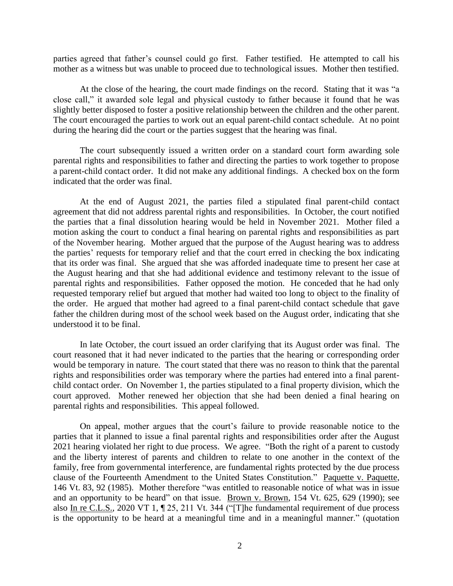parties agreed that father's counsel could go first. Father testified. He attempted to call his mother as a witness but was unable to proceed due to technological issues. Mother then testified.

At the close of the hearing, the court made findings on the record. Stating that it was "a close call," it awarded sole legal and physical custody to father because it found that he was slightly better disposed to foster a positive relationship between the children and the other parent. The court encouraged the parties to work out an equal parent-child contact schedule. At no point during the hearing did the court or the parties suggest that the hearing was final.

The court subsequently issued a written order on a standard court form awarding sole parental rights and responsibilities to father and directing the parties to work together to propose a parent-child contact order. It did not make any additional findings. A checked box on the form indicated that the order was final.

At the end of August 2021, the parties filed a stipulated final parent-child contact agreement that did not address parental rights and responsibilities. In October, the court notified the parties that a final dissolution hearing would be held in November 2021. Mother filed a motion asking the court to conduct a final hearing on parental rights and responsibilities as part of the November hearing. Mother argued that the purpose of the August hearing was to address the parties' requests for temporary relief and that the court erred in checking the box indicating that its order was final. She argued that she was afforded inadequate time to present her case at the August hearing and that she had additional evidence and testimony relevant to the issue of parental rights and responsibilities. Father opposed the motion. He conceded that he had only requested temporary relief but argued that mother had waited too long to object to the finality of the order. He argued that mother had agreed to a final parent-child contact schedule that gave father the children during most of the school week based on the August order, indicating that she understood it to be final.

In late October, the court issued an order clarifying that its August order was final. The court reasoned that it had never indicated to the parties that the hearing or corresponding order would be temporary in nature. The court stated that there was no reason to think that the parental rights and responsibilities order was temporary where the parties had entered into a final parentchild contact order. On November 1, the parties stipulated to a final property division, which the court approved. Mother renewed her objection that she had been denied a final hearing on parental rights and responsibilities. This appeal followed.

On appeal, mother argues that the court's failure to provide reasonable notice to the parties that it planned to issue a final parental rights and responsibilities order after the August 2021 hearing violated her right to due process. We agree. "Both the right of a parent to custody and the liberty interest of parents and children to relate to one another in the context of the family, free from governmental interference, are fundamental rights protected by the due process clause of the Fourteenth Amendment to the United States Constitution." Paquette v. Paquette, 146 Vt. 83, 92 (1985). Mother therefore "was entitled to reasonable notice of what was in issue and an opportunity to be heard" on that issue. Brown v. Brown, 154 Vt. 625, 629 (1990); see also In re C.L.S., 2020 VT 1, ¶ 25, 211 Vt. 344 ("[T]he fundamental requirement of due process is the opportunity to be heard at a meaningful time and in a meaningful manner." (quotation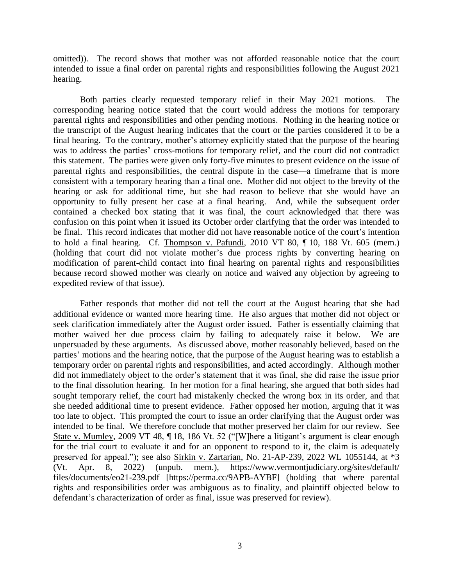omitted)). The record shows that mother was not afforded reasonable notice that the court intended to issue a final order on parental rights and responsibilities following the August 2021 hearing.

Both parties clearly requested temporary relief in their May 2021 motions. The corresponding hearing notice stated that the court would address the motions for temporary parental rights and responsibilities and other pending motions. Nothing in the hearing notice or the transcript of the August hearing indicates that the court or the parties considered it to be a final hearing. To the contrary, mother's attorney explicitly stated that the purpose of the hearing was to address the parties' cross-motions for temporary relief, and the court did not contradict this statement. The parties were given only forty-five minutes to present evidence on the issue of parental rights and responsibilities, the central dispute in the case—a timeframe that is more consistent with a temporary hearing than a final one. Mother did not object to the brevity of the hearing or ask for additional time, but she had reason to believe that she would have an opportunity to fully present her case at a final hearing. And, while the subsequent order contained a checked box stating that it was final, the court acknowledged that there was confusion on this point when it issued its October order clarifying that the order was intended to be final. This record indicates that mother did not have reasonable notice of the court's intention to hold a final hearing. Cf. Thompson v. Pafundi, 2010 VT 80, ¶ 10, 188 Vt. 605 (mem.) (holding that court did not violate mother's due process rights by converting hearing on modification of parent-child contact into final hearing on parental rights and responsibilities because record showed mother was clearly on notice and waived any objection by agreeing to expedited review of that issue).

Father responds that mother did not tell the court at the August hearing that she had additional evidence or wanted more hearing time. He also argues that mother did not object or seek clarification immediately after the August order issued. Father is essentially claiming that mother waived her due process claim by failing to adequately raise it below. We are unpersuaded by these arguments. As discussed above, mother reasonably believed, based on the parties' motions and the hearing notice, that the purpose of the August hearing was to establish a temporary order on parental rights and responsibilities, and acted accordingly. Although mother did not immediately object to the order's statement that it was final, she did raise the issue prior to the final dissolution hearing. In her motion for a final hearing, she argued that both sides had sought temporary relief, the court had mistakenly checked the wrong box in its order, and that she needed additional time to present evidence. Father opposed her motion, arguing that it was too late to object. This prompted the court to issue an order clarifying that the August order was intended to be final. We therefore conclude that mother preserved her claim for our review. See State v. Mumley, 2009 VT 48, ¶ 18, 186 Vt. 52 ("[W]here a litigant's argument is clear enough for the trial court to evaluate it and for an opponent to respond to it, the claim is adequately preserved for appeal."); see also Sirkin v. Zartarian, No. 21-AP-239, 2022 WL 1055144, at \*3 (Vt. Apr. 8, 2022) (unpub. mem.), https://www.vermontjudiciary.org/sites/default/ files/documents/eo21-239.pdf [https://perma.cc/9APB-AYBF] (holding that where parental rights and responsibilities order was ambiguous as to finality, and plaintiff objected below to defendant's characterization of order as final, issue was preserved for review).